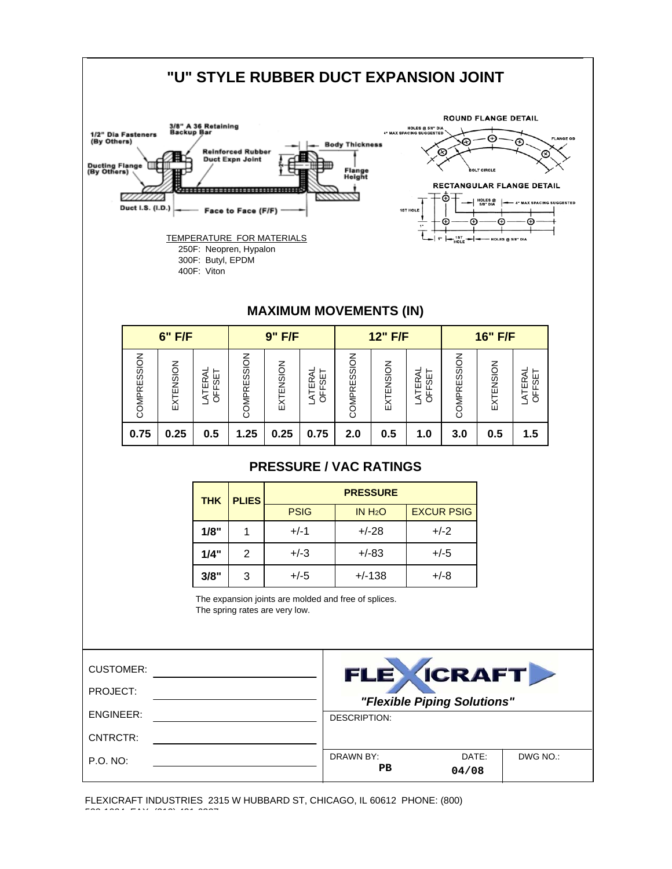

FLEXICRAFT INDUSTRIES 2315 W HUBBARD ST, CHICAGO, IL 60612 PHONE: (800) 533 1024 FAX (312) 421 6327